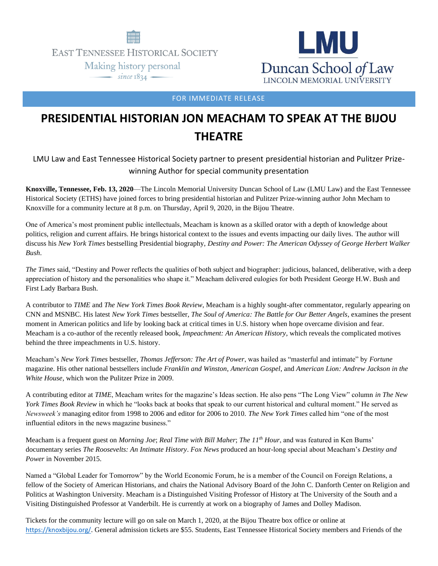

**EAST TENNESSEE HISTORICAL SOCIETY** 

Making history personal  $\frac{1}{\text{since } 1834}$ 



FOR IMMEDIATE RELEASE

## **PRESIDENTIAL HISTORIAN JON MEACHAM TO SPEAK AT THE BIJOU THEATRE**

LMU Law and East Tennessee Historical Society partner to present presidential historian and Pulitzer Prizewinning Author for special community presentation

**Knoxville, Tennessee, Feb. 13, 2020**—The Lincoln Memorial University Duncan School of Law (LMU Law) and the East Tennessee Historical Society (ETHS) have joined forces to bring presidential historian and Pulitzer Prize-winning author John Mecham to Knoxville for a community lecture at 8 p.m. on Thursday, April 9, 2020, in the Bijou Theatre.

One of America's most prominent public intellectuals, Meacham is known as a skilled orator with a depth of knowledge about politics, religion and current affairs. He brings historical context to the issues and events impacting our daily lives. The author will discuss his *New York Times* bestselling Presidential biography, *Destiny and Power: The American Odyssey of George Herbert Walker Bush*.

*The Times* said, "Destiny and Power reflects the qualities of both subject and biographer: judicious, balanced, deliberative, with a deep appreciation of history and the personalities who shape it." Meacham delivered eulogies for both President George H.W. Bush and First Lady Barbara Bush.

A contributor to *TIME* and *The New York Times Book Review*, Meacham is a highly sought-after commentator, regularly appearing on CNN and MSNBC. His latest *New York Times* bestseller, *The Soul of America: The Battle for Our Better Angels*, examines the present moment in American politics and life by looking back at critical times in U.S. history when hope overcame division and fear. Meacham is a co-author of the recently released book, *Impeachment: An American History*, which reveals the complicated motives behind the three impeachments in U.S. history.

Meacham's *New York Times* bestseller, *Thomas Jefferson: The Art of Power*, was hailed as "masterful and intimate" by *Fortune*  magazine. His other national bestsellers include *Franklin and Winston*, *American Gospel*, and *American Lion: Andrew Jackson in the White House*, which won the Pulitzer Prize in 2009.

A contributing editor at *TIME*, Meacham writes for the magazine's Ideas section. He also pens "The Long View" column *in The New York Times Book Review* in which he "looks back at books that speak to our current historical and cultural moment." He served as *Newsweek's* managing editor from 1998 to 2006 and editor for 2006 to 2010. *The New York Times* called him "one of the most influential editors in the news magazine business."

Meacham is a frequent guest on *Morning Joe*; *Real Time with Bill Maher*; *The 11th Hour*, and was featured in Ken Burns' documentary series *The Roosevelts: An Intimate History*. *Fox News* produced an hour-long special about Meacham's *Destiny and Power* in November 2015.

Named a "Global Leader for Tomorrow" by the World Economic Forum, he is a member of the Council on Foreign Relations, a fellow of the Society of American Historians, and chairs the National Advisory Board of the John C. Danforth Center on Religion and Politics at Washington University. Meacham is a Distinguished Visiting Professor of History at The University of the South and a Visiting Distinguished Professor at Vanderbilt. He is currently at work on a biography of James and Dolley Madison.

Tickets for the community lecture will go on sale on March 1, 2020, at the Bijou Theatre box office or online at <https://knoxbijou.org/>. General admission tickets are \$55. Students, East Tennessee Historical Society members and Friends of the